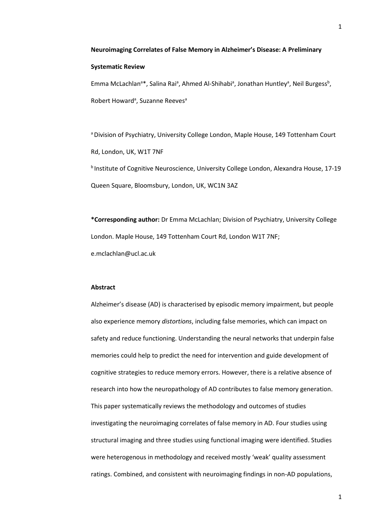### **Systematic Review**

Emma McLachlan<sup>a\*</sup>, Salina Rai<sup>a</sup>, Ahmed Al-Shihabi<sup>a</sup>, Jonathan Huntley<sup>a</sup>, Neil Burgess<sup>b</sup>, Robert Howard<sup>a</sup>, Suzanne Reeves<sup>a</sup>

a Division of Psychiatry, University College London, Maple House, 149 Tottenham Court Rd, London, UK, W1T 7NF <sup>b</sup> Institute of Cognitive Neuroscience, University College London, Alexandra House, 17-19 Queen Square, Bloomsbury, London, UK, WC1N 3AZ

**\*Corresponding author:** Dr Emma McLachlan; Division of Psychiatry, University College London. Maple House, 149 Tottenham Court Rd, London W1T 7NF;

e.mclachlan@ucl.ac.uk

### **Abstract**

Alzheimer's disease (AD) is characterised by episodic memory impairment, but people also experience memory *distortions*, including false memories, which can impact on safety and reduce functioning. Understanding the neural networks that underpin false memories could help to predict the need for intervention and guide development of cognitive strategies to reduce memory errors. However, there is a relative absence of research into how the neuropathology of AD contributes to false memory generation. This paper systematically reviews the methodology and outcomes of studies investigating the neuroimaging correlates of false memory in AD. Four studies using structural imaging and three studies using functional imaging were identified. Studies were heterogenous in methodology and received mostly 'weak' quality assessment ratings. Combined, and consistent with neuroimaging findings in non-AD populations,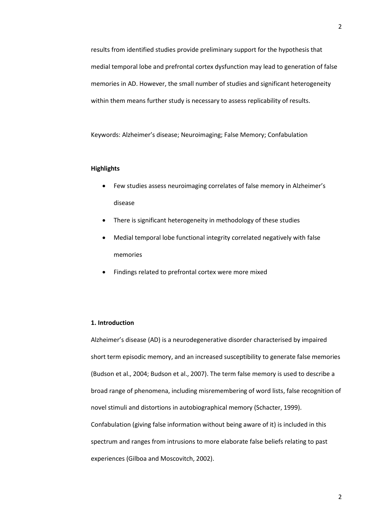results from identified studies provide preliminary support for the hypothesis that medial temporal lobe and prefrontal cortex dysfunction may lead to generation of false memories in AD. However, the small number of studies and significant heterogeneity within them means further study is necessary to assess replicability of results.

Keywords: Alzheimer's disease; Neuroimaging; False Memory; Confabulation

### **Highlights**

- Few studies assess neuroimaging correlates of false memory in Alzheimer's disease
- There is significant heterogeneity in methodology of these studies
- Medial temporal lobe functional integrity correlated negatively with false memories
- Findings related to prefrontal cortex were more mixed

#### **1. Introduction**

Alzheimer's disease (AD) is a neurodegenerative disorder characterised by impaired short term episodic memory, and an increased susceptibility to generate false memories (Budson et al., 2004; Budson et al., 2007). The term false memory is used to describe a broad range of phenomena, including misremembering of word lists, false recognition of novel stimuli and distortions in autobiographical memory (Schacter, 1999). Confabulation (giving false information without being aware of it) is included in this spectrum and ranges from intrusions to more elaborate false beliefs relating to past experiences (Gilboa and Moscovitch, 2002).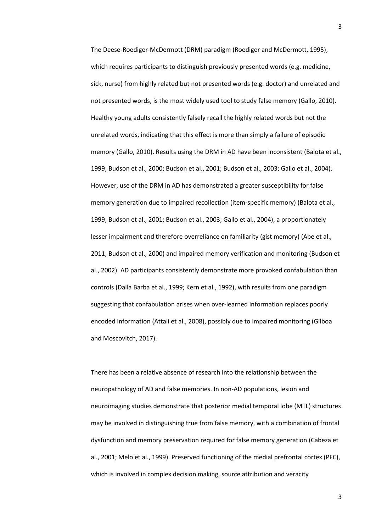The Deese-Roediger-McDermott (DRM) paradigm (Roediger and McDermott, 1995), which requires participants to distinguish previously presented words (e.g. medicine, sick, nurse) from highly related but not presented words (e.g. doctor) and unrelated and not presented words, is the most widely used tool to study false memory (Gallo, 2010). Healthy young adults consistently falsely recall the highly related words but not the unrelated words, indicating that this effect is more than simply a failure of episodic memory (Gallo, 2010). Results using the DRM in AD have been inconsistent (Balota et al., 1999; Budson et al., 2000; Budson et al., 2001; Budson et al., 2003; Gallo et al., 2004). However, use of the DRM in AD has demonstrated a greater susceptibility for false memory generation due to impaired recollection (item-specific memory) (Balota et al., 1999; Budson et al., 2001; Budson et al., 2003; Gallo et al., 2004), a proportionately lesser impairment and therefore overreliance on familiarity (gist memory) (Abe et al., 2011; Budson et al., 2000) and impaired memory verification and monitoring (Budson et al., 2002). AD participants consistently demonstrate more provoked confabulation than controls (Dalla Barba et al., 1999; Kern et al., 1992), with results from one paradigm suggesting that confabulation arises when over-learned information replaces poorly encoded information (Attali et al., 2008), possibly due to impaired monitoring (Gilboa and Moscovitch, 2017).

There has been a relative absence of research into the relationship between the neuropathology of AD and false memories. In non-AD populations, lesion and neuroimaging studies demonstrate that posterior medial temporal lobe (MTL) structures may be involved in distinguishing true from false memory, with a combination of frontal dysfunction and memory preservation required for false memory generation (Cabeza et al., 2001; Melo et al., 1999). Preserved functioning of the medial prefrontal cortex (PFC), which is involved in complex decision making, source attribution and veracity

3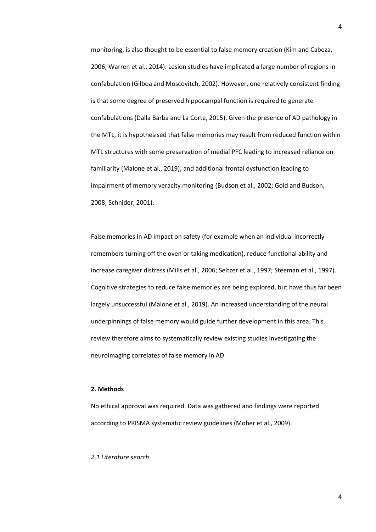monitoring, is also thought to be essential to false memory creation (Kim and Cabeza, 2006; Warren et al., 2014). Lesion studies have implicated a large number of regions in confabulation (Gilboa and Moscovitch, 2002). However, one relatively consistent finding is that some degree of preserved hippocampal function is required to generate confabulations (Dalla Barba and La Corte, 2015). Given the presence of AD pathology in the MTL, it is hypothesised that false memories may result from reduced function within MTL structures with some preservation of medial PFC leading to increased reliance on familiarity (Malone et al., 2019), and additional frontal dysfunction leading to impairment of memory veracity monitoring (Budson et al., 2002; Gold and Budson, 2008; Schnider, 2001).

False memories in AD impact on safety (for example when an individual incorrectly remembers turning off the oven or taking medication), reduce functional ability and increase caregiver distress (Mills et al., 2006; Seltzer et al., 1997; Steeman et al., 1997). Cognitive strategies to reduce false memories are being explored, but have thus far been largely unsuccessful (Malone et al., 2019). An increased understanding of the neural underpinnings of false memory would guide further development in this area. This review therefore aims to systematically review existing studies investigating the neuroimaging correlates of false memory in AD.

### **2. Methods**

No ethical approval was required. Data was gathered and findings were reported according to PRISMA systematic review guidelines (Moher et al., 2009).

#### *2.1 Literature search*

 $\Delta$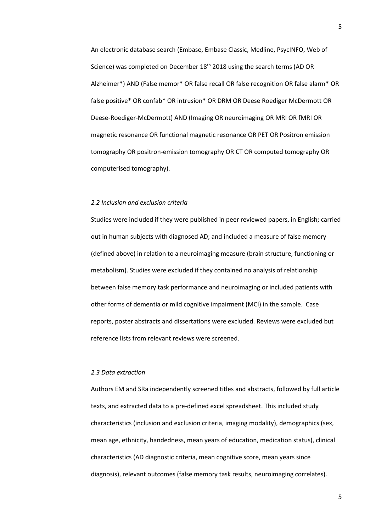An electronic database search (Embase, Embase Classic, Medline, PsycINFO, Web of Science) was completed on December 18<sup>th</sup> 2018 using the search terms (AD OR Alzheimer\*) AND (False memor\* OR false recall OR false recognition OR false alarm\* OR false positive\* OR confab\* OR intrusion\* OR DRM OR Deese Roediger McDermott OR Deese-Roediger-McDermott) AND (Imaging OR neuroimaging OR MRI OR fMRI OR magnetic resonance OR functional magnetic resonance OR PET OR Positron emission tomography OR positron-emission tomography OR CT OR computed tomography OR computerised tomography).

### *2.2 Inclusion and exclusion criteria*

Studies were included if they were published in peer reviewed papers, in English; carried out in human subjects with diagnosed AD; and included a measure of false memory (defined above) in relation to a neuroimaging measure (brain structure, functioning or metabolism). Studies were excluded if they contained no analysis of relationship between false memory task performance and neuroimaging or included patients with other forms of dementia or mild cognitive impairment (MCI) in the sample. Case reports, poster abstracts and dissertations were excluded. Reviews were excluded but reference lists from relevant reviews were screened.

### *2.3 Data extraction*

Authors EM and SRa independently screened titles and abstracts, followed by full article texts, and extracted data to a pre-defined excel spreadsheet. This included study characteristics (inclusion and exclusion criteria, imaging modality), demographics (sex, mean age, ethnicity, handedness, mean years of education, medication status), clinical characteristics (AD diagnostic criteria, mean cognitive score, mean years since diagnosis), relevant outcomes (false memory task results, neuroimaging correlates).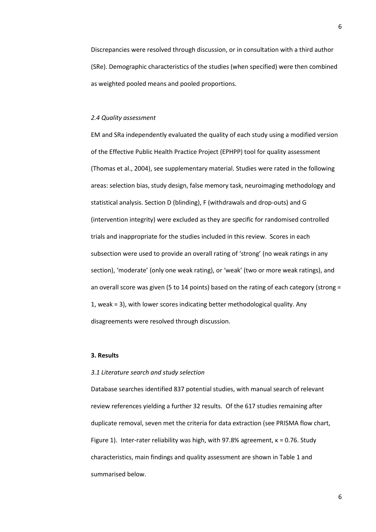Discrepancies were resolved through discussion, or in consultation with a third author (SRe). Demographic characteristics of the studies (when specified) were then combined as weighted pooled means and pooled proportions.

### *2.4 Quality assessment*

EM and SRa independently evaluated the quality of each study using a modified version of the Effective Public Health Practice Project (EPHPP) tool for quality assessment (Thomas et al., 2004), see supplementary material. Studies were rated in the following areas: selection bias, study design, false memory task, neuroimaging methodology and statistical analysis. Section D (blinding), F (withdrawals and drop-outs) and G (intervention integrity) were excluded as they are specific for randomised controlled trials and inappropriate for the studies included in this review. Scores in each subsection were used to provide an overall rating of 'strong' (no weak ratings in any section), 'moderate' (only one weak rating), or 'weak' (two or more weak ratings), and an overall score was given (5 to 14 points) based on the rating of each category (strong = 1, weak = 3), with lower scores indicating better methodological quality. Any disagreements were resolved through discussion.

### **3. Results**

### *3.1 Literature search and study selection*

Database searches identified 837 potential studies, with manual search of relevant review references yielding a further 32 results. Of the 617 studies remaining after duplicate removal, seven met the criteria for data extraction (see PRISMA flow chart, Figure 1). Inter-rater reliability was high, with 97.8% agreement,  $\kappa$  = 0.76. Study characteristics, main findings and quality assessment are shown in Table 1 and summarised below.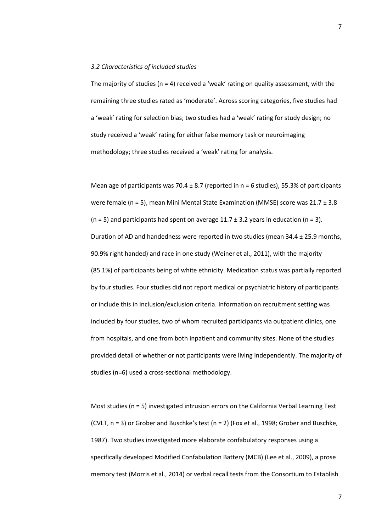### *3.2 Characteristics of included studies*

The majority of studies ( $n = 4$ ) received a 'weak' rating on quality assessment, with the remaining three studies rated as 'moderate'. Across scoring categories, five studies had a 'weak' rating for selection bias; two studies had a 'weak' rating for study design; no study received a 'weak' rating for either false memory task or neuroimaging methodology; three studies received a 'weak' rating for analysis.

Mean age of participants was 70.4  $\pm$  8.7 (reported in n = 6 studies), 55.3% of participants were female (n = 5), mean Mini Mental State Examination (MMSE) score was 21.7 ± 3.8 ( $n = 5$ ) and participants had spent on average 11.7 ± 3.2 years in education ( $n = 3$ ). Duration of AD and handedness were reported in two studies (mean 34.4 ± 25.9 months, 90.9% right handed) and race in one study (Weiner et al., 2011), with the majority (85.1%) of participants being of white ethnicity. Medication status was partially reported by four studies. Four studies did not report medical or psychiatric history of participants or include this in inclusion/exclusion criteria. Information on recruitment setting was included by four studies, two of whom recruited participants via outpatient clinics, one from hospitals, and one from both inpatient and community sites. None of the studies provided detail of whether or not participants were living independently. The majority of studies (n=6) used a cross-sectional methodology.

Most studies (n = 5) investigated intrusion errors on the California Verbal Learning Test (CVLT,  $n = 3$ ) or Grober and Buschke's test ( $n = 2$ ) (Fox et al., 1998; Grober and Buschke, 1987). Two studies investigated more elaborate confabulatory responses using a specifically developed Modified Confabulation Battery (MCB) (Lee et al., 2009), a prose memory test (Morris et al., 2014) or verbal recall tests from the Consortium to Establish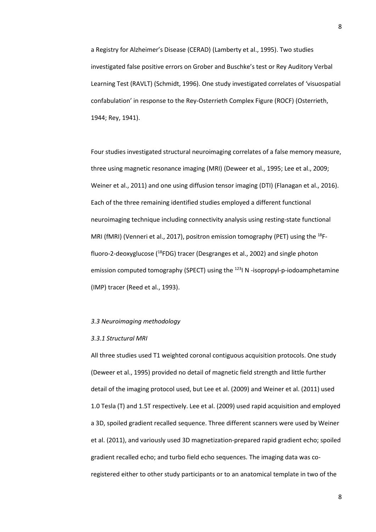a Registry for Alzheimer's Disease (CERAD) (Lamberty et al., 1995). Two studies investigated false positive errors on Grober and Buschke's test or Rey Auditory Verbal Learning Test (RAVLT) (Schmidt, 1996). One study investigated correlates of 'visuospatial confabulation' in response to the Rey-Osterrieth Complex Figure (ROCF) (Osterrieth, 1944; Rey, 1941).

Four studies investigated structural neuroimaging correlates of a false memory measure, three using magnetic resonance imaging (MRI) (Deweer et al., 1995; Lee et al., 2009; Weiner et al., 2011) and one using diffusion tensor imaging (DTI) (Flanagan et al., 2016). Each of the three remaining identified studies employed a different functional neuroimaging technique including connectivity analysis using resting-state functional MRI (fMRI) (Venneri et al., 2017), positron emission tomography (PET) using the <sup>18</sup>Ffluoro-2-deoxyglucose (<sup>18</sup>FDG) tracer (Desgranges et al., 2002) and single photon emission computed tomography (SPECT) using the <sup>123</sup>I N -isopropyl-p-iodoamphetamine (IMP) tracer (Reed et al., 1993).

### *3.3 Neuroimaging methodology*

#### *3.3.1 Structural MRI*

All three studies used T1 weighted coronal contiguous acquisition protocols. One study (Deweer et al., 1995) provided no detail of magnetic field strength and little further detail of the imaging protocol used, but Lee et al. (2009) and Weiner et al. (2011) used 1.0 Tesla (T) and 1.5T respectively. Lee et al. (2009) used rapid acquisition and employed a 3D, spoiled gradient recalled sequence. Three different scanners were used by Weiner et al. (2011), and variously used 3D magnetization-prepared rapid gradient echo; spoiled gradient recalled echo; and turbo field echo sequences. The imaging data was coregistered either to other study participants or to an anatomical template in two of the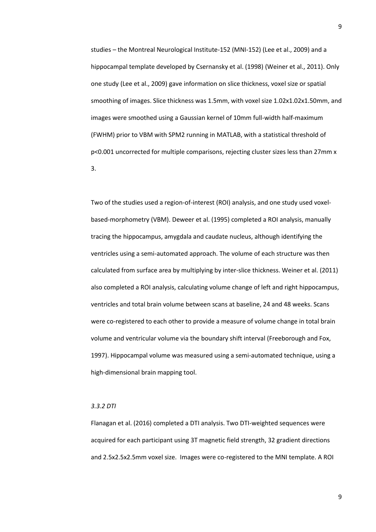studies – the Montreal Neurological Institute-152 (MNI-152) (Lee et al., 2009) and a hippocampal template developed by Csernansky et al. (1998) (Weiner et al., 2011). Only one study (Lee et al., 2009) gave information on slice thickness, voxel size or spatial smoothing of images. Slice thickness was 1.5mm, with voxel size 1.02x1.02x1.50mm, and images were smoothed using a Gaussian kernel of 10mm full-width half-maximum (FWHM) prior to VBM with SPM2 running in MATLAB, with a statistical threshold of p<0.001 uncorrected for multiple comparisons, rejecting cluster sizes less than 27mm x 3.

Two of the studies used a region-of-interest (ROI) analysis, and one study used voxelbased-morphometry (VBM). Deweer et al. (1995) completed a ROI analysis, manually tracing the hippocampus, amygdala and caudate nucleus, although identifying the ventricles using a semi-automated approach. The volume of each structure was then calculated from surface area by multiplying by inter-slice thickness. Weiner et al. (2011) also completed a ROI analysis, calculating volume change of left and right hippocampus, ventricles and total brain volume between scans at baseline, 24 and 48 weeks. Scans were co-registered to each other to provide a measure of volume change in total brain volume and ventricular volume via the boundary shift interval (Freeborough and Fox, 1997). Hippocampal volume was measured using a semi-automated technique, using a high-dimensional brain mapping tool.

### *3.3.2 DTI*

Flanagan et al. (2016) completed a DTI analysis. Two DTI-weighted sequences were acquired for each participant using 3T magnetic field strength, 32 gradient directions and 2.5x2.5x2.5mm voxel size. Images were co-registered to the MNI template. A ROI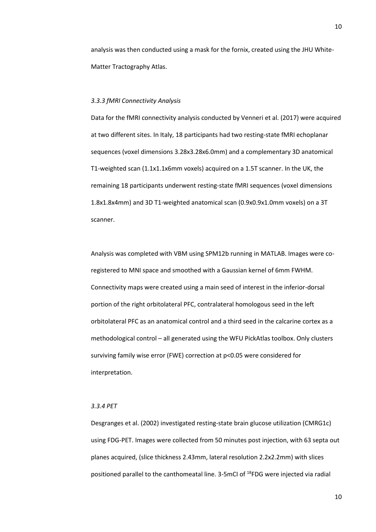analysis was then conducted using a mask for the fornix, created using the JHU White-Matter Tractography Atlas.

### *3.3.3 fMRI Connectivity Analysis*

Data for the fMRI connectivity analysis conducted by Venneri et al. (2017) were acquired at two different sites. In Italy, 18 participants had two resting-state fMRI echoplanar sequences (voxel dimensions 3.28x3.28x6.0mm) and a complementary 3D anatomical T1-weighted scan (1.1x1.1x6mm voxels) acquired on a 1.5T scanner. In the UK, the remaining 18 participants underwent resting-state fMRI sequences (voxel dimensions 1.8x1.8x4mm) and 3D T1-weighted anatomical scan (0.9x0.9x1.0mm voxels) on a 3T scanner.

Analysis was completed with VBM using SPM12b running in MATLAB. Images were coregistered to MNI space and smoothed with a Gaussian kernel of 6mm FWHM. Connectivity maps were created using a main seed of interest in the inferior-dorsal portion of the right orbitolateral PFC, contralateral homologous seed in the left orbitolateral PFC as an anatomical control and a third seed in the calcarine cortex as a methodological control – all generated using the WFU PickAtlas toolbox. Only clusters surviving family wise error (FWE) correction at p<0.05 were considered for interpretation.

### *3.3.4 PET*

Desgranges et al. (2002) investigated resting-state brain glucose utilization (CMRG1c) using FDG-PET. Images were collected from 50 minutes post injection, with 63 septa out planes acquired, (slice thickness 2.43mm, lateral resolution 2.2x2.2mm) with slices positioned parallel to the canthomeatal line. 3-5mCI of 18FDG were injected via radial

10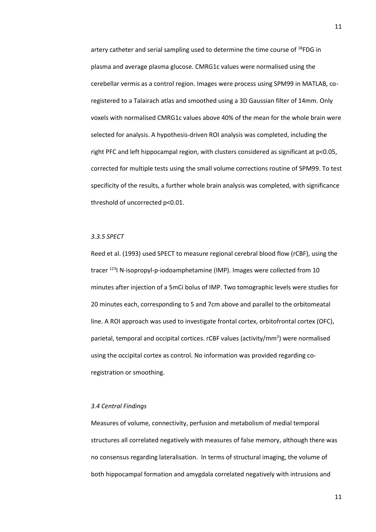artery catheter and serial sampling used to determine the time course of  $^{18}$ FDG in plasma and average plasma glucose. CMRG1c values were normalised using the cerebellar vermis as a control region. Images were process using SPM99 in MATLAB, coregistered to a Talairach atlas and smoothed using a 3D Gaussian filter of 14mm. Only voxels with normalised CMRG1c values above 40% of the mean for the whole brain were selected for analysis. A hypothesis-driven ROI analysis was completed, including the right PFC and left hippocampal region, with clusters considered as significant at p<0.05, corrected for multiple tests using the small volume corrections routine of SPM99. To test specificity of the results, a further whole brain analysis was completed, with significance threshold of uncorrected p<0.01.

### *3.3.5 SPECT*

Reed et al. (1993) used SPECT to measure regional cerebral blood flow (rCBF), using the tracer <sup>123</sup>I N-isopropyl-p-iodoamphetamine (IMP). Images were collected from 10 minutes after injection of a 5mCi bolus of IMP. Two tomographic levels were studies for 20 minutes each, corresponding to 5 and 7cm above and parallel to the orbitomeatal line. A ROI approach was used to investigate frontal cortex, orbitofrontal cortex (OFC), parietal, temporal and occipital cortices. rCBF values (activity/mm<sup>2</sup>) were normalised using the occipital cortex as control. No information was provided regarding coregistration or smoothing.

### *3.4 Central Findings*

Measures of volume, connectivity, perfusion and metabolism of medial temporal structures all correlated negatively with measures of false memory, although there was no consensus regarding lateralisation. In terms of structural imaging, the volume of both hippocampal formation and amygdala correlated negatively with intrusions and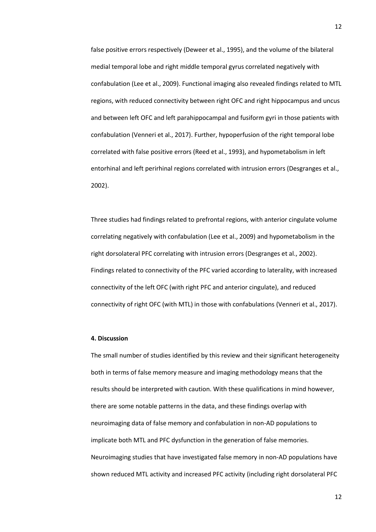false positive errors respectively (Deweer et al., 1995), and the volume of the bilateral medial temporal lobe and right middle temporal gyrus correlated negatively with confabulation (Lee et al., 2009). Functional imaging also revealed findings related to MTL regions, with reduced connectivity between right OFC and right hippocampus and uncus and between left OFC and left parahippocampal and fusiform gyri in those patients with confabulation (Venneri et al., 2017). Further, hypoperfusion of the right temporal lobe correlated with false positive errors (Reed et al., 1993), and hypometabolism in left entorhinal and left perirhinal regions correlated with intrusion errors (Desgranges et al., 2002).

Three studies had findings related to prefrontal regions, with anterior cingulate volume correlating negatively with confabulation (Lee et al., 2009) and hypometabolism in the right dorsolateral PFC correlating with intrusion errors (Desgranges et al., 2002). Findings related to connectivity of the PFC varied according to laterality, with increased connectivity of the left OFC (with right PFC and anterior cingulate), and reduced connectivity of right OFC (with MTL) in those with confabulations (Venneri et al., 2017).

### **4. Discussion**

The small number of studies identified by this review and their significant heterogeneity both in terms of false memory measure and imaging methodology means that the results should be interpreted with caution. With these qualifications in mind however, there are some notable patterns in the data, and these findings overlap with neuroimaging data of false memory and confabulation in non-AD populations to implicate both MTL and PFC dysfunction in the generation of false memories. Neuroimaging studies that have investigated false memory in non-AD populations have shown reduced MTL activity and increased PFC activity (including right dorsolateral PFC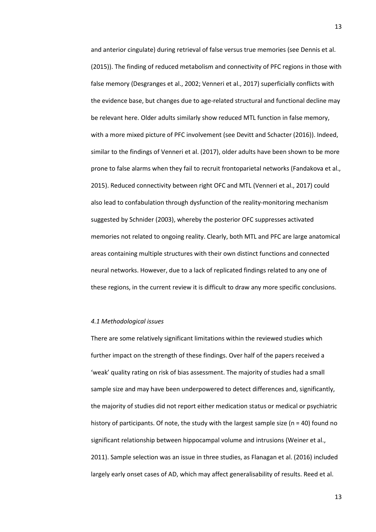and anterior cingulate) during retrieval of false versus true memories (see Dennis et al. (2015)). The finding of reduced metabolism and connectivity of PFC regions in those with false memory (Desgranges et al., 2002; Venneri et al., 2017) superficially conflicts with the evidence base, but changes due to age-related structural and functional decline may be relevant here. Older adults similarly show reduced MTL function in false memory, with a more mixed picture of PFC involvement (see Devitt and Schacter (2016)). Indeed, similar to the findings of Venneri et al. (2017), older adults have been shown to be more prone to false alarms when they fail to recruit frontoparietal networks (Fandakova et al., 2015). Reduced connectivity between right OFC and MTL (Venneri et al., 2017) could also lead to confabulation through dysfunction of the reality-monitoring mechanism suggested by Schnider (2003), whereby the posterior OFC suppresses activated memories not related to ongoing reality. Clearly, both MTL and PFC are large anatomical areas containing multiple structures with their own distinct functions and connected neural networks. However, due to a lack of replicated findings related to any one of these regions, in the current review it is difficult to draw any more specific conclusions.

### *4.1 Methodological issues*

There are some relatively significant limitations within the reviewed studies which further impact on the strength of these findings. Over half of the papers received a 'weak' quality rating on risk of bias assessment. The majority of studies had a small sample size and may have been underpowered to detect differences and, significantly, the majority of studies did not report either medication status or medical or psychiatric history of participants. Of note, the study with the largest sample size ( $n = 40$ ) found no significant relationship between hippocampal volume and intrusions (Weiner et al., 2011). Sample selection was an issue in three studies, as Flanagan et al. (2016) included largely early onset cases of AD, which may affect generalisability of results. Reed et al.

13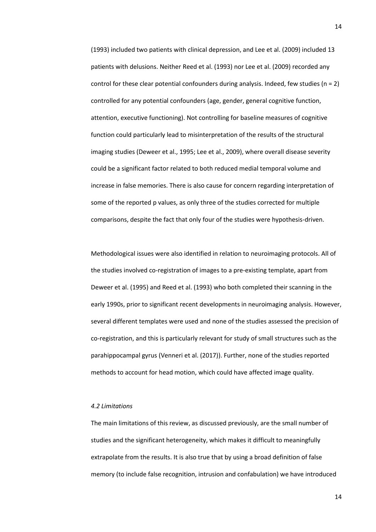(1993) included two patients with clinical depression, and Lee et al. (2009) included 13 patients with delusions. Neither Reed et al. (1993) nor Lee et al. (2009) recorded any control for these clear potential confounders during analysis. Indeed, few studies ( $n = 2$ ) controlled for any potential confounders (age, gender, general cognitive function, attention, executive functioning). Not controlling for baseline measures of cognitive function could particularly lead to misinterpretation of the results of the structural imaging studies (Deweer et al., 1995; Lee et al., 2009), where overall disease severity could be a significant factor related to both reduced medial temporal volume and increase in false memories. There is also cause for concern regarding interpretation of some of the reported p values, as only three of the studies corrected for multiple comparisons, despite the fact that only four of the studies were hypothesis-driven.

Methodological issues were also identified in relation to neuroimaging protocols. All of the studies involved co-registration of images to a pre-existing template, apart from Deweer et al. (1995) and Reed et al. (1993) who both completed their scanning in the early 1990s, prior to significant recent developments in neuroimaging analysis. However, several different templates were used and none of the studies assessed the precision of co-registration, and this is particularly relevant for study of small structures such as the parahippocampal gyrus (Venneri et al. (2017)). Further, none of the studies reported methods to account for head motion, which could have affected image quality.

#### *4.2 Limitations*

The main limitations of this review, as discussed previously, are the small number of studies and the significant heterogeneity, which makes it difficult to meaningfully extrapolate from the results. It is also true that by using a broad definition of false memory (to include false recognition, intrusion and confabulation) we have introduced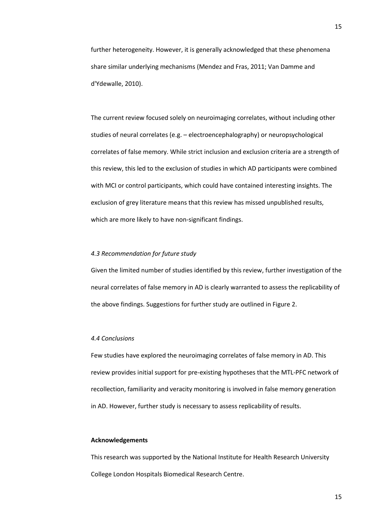further heterogeneity. However, it is generally acknowledged that these phenomena share similar underlying mechanisms (Mendez and Fras, 2011; Van Damme and d'Ydewalle, 2010).

The current review focused solely on neuroimaging correlates, without including other studies of neural correlates (e.g. – electroencephalography) or neuropsychological correlates of false memory. While strict inclusion and exclusion criteria are a strength of this review, this led to the exclusion of studies in which AD participants were combined with MCI or control participants, which could have contained interesting insights. The exclusion of grey literature means that this review has missed unpublished results, which are more likely to have non-significant findings.

### *4.3 Recommendation for future study*

Given the limited number of studies identified by this review, further investigation of the neural correlates of false memory in AD is clearly warranted to assess the replicability of the above findings. Suggestions for further study are outlined in Figure 2.

### *4.4 Conclusions*

Few studies have explored the neuroimaging correlates of false memory in AD. This review provides initial support for pre-existing hypotheses that the MTL-PFC network of recollection, familiarity and veracity monitoring is involved in false memory generation in AD. However, further study is necessary to assess replicability of results.

### **Acknowledgements**

This research was supported by the National Institute for Health Research University College London Hospitals Biomedical Research Centre.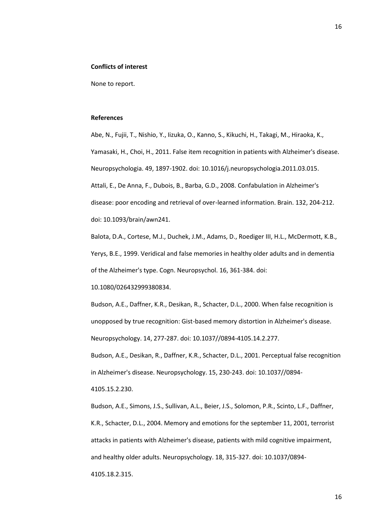#### **Conflicts of interest**

None to report.

### **References**

Abe, N., Fujii, T., Nishio, Y., Iizuka, O., Kanno, S., Kikuchi, H., Takagi, M., Hiraoka, K., Yamasaki, H., Choi, H., 2011. False item recognition in patients with Alzheimer's disease. Neuropsychologia. 49, 1897-1902. doi: 10.1016/j.neuropsychologia.2011.03.015. Attali, E., De Anna, F., Dubois, B., Barba, G.D., 2008. Confabulation in Alzheimer's disease: poor encoding and retrieval of over-learned information. Brain. 132, 204-212. doi: 10.1093/brain/awn241.

Balota, D.A., Cortese, M.J., Duchek, J.M., Adams, D., Roediger III, H.L., McDermott, K.B., Yerys, B.E., 1999. Veridical and false memories in healthy older adults and in dementia of the Alzheimer's type. Cogn. Neuropsychol. 16, 361-384. doi:

10.1080/026432999380834.

Budson, A.E., Daffner, K.R., Desikan, R., Schacter, D.L., 2000. When false recognition is unopposed by true recognition: Gist-based memory distortion in Alzheimer's disease. Neuropsychology. 14, 277-287. doi: 10.1037//0894-4105.14.2.277.

Budson, A.E., Desikan, R., Daffner, K.R., Schacter, D.L., 2001. Perceptual false recognition in Alzheimer's disease. Neuropsychology. 15, 230-243. doi: 10.1037//0894-

4105.15.2.230.

Budson, A.E., Simons, J.S., Sullivan, A.L., Beier, J.S., Solomon, P.R., Scinto, L.F., Daffner, K.R., Schacter, D.L., 2004. Memory and emotions for the september 11, 2001, terrorist attacks in patients with Alzheimer's disease, patients with mild cognitive impairment, and healthy older adults. Neuropsychology. 18, 315-327. doi: 10.1037/0894- 4105.18.2.315.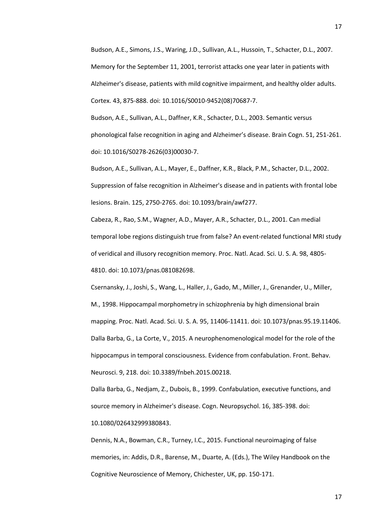Budson, A.E., Simons, J.S., Waring, J.D., Sullivan, A.L., Hussoin, T., Schacter, D.L., 2007. Memory for the September 11, 2001, terrorist attacks one year later in patients with Alzheimer's disease, patients with mild cognitive impairment, and healthy older adults. Cortex. 43, 875-888. doi: 10.1016/S0010-9452(08)70687-7.

Budson, A.E., Sullivan, A.L., Daffner, K.R., Schacter, D.L., 2003. Semantic versus phonological false recognition in aging and Alzheimer's disease. Brain Cogn. 51, 251-261. doi: 10.1016/S0278-2626(03)00030-7.

Budson, A.E., Sullivan, A.L., Mayer, E., Daffner, K.R., Black, P.M., Schacter, D.L., 2002. Suppression of false recognition in Alzheimer's disease and in patients with frontal lobe lesions. Brain. 125, 2750-2765. doi: 10.1093/brain/awf277.

Cabeza, R., Rao, S.M., Wagner, A.D., Mayer, A.R., Schacter, D.L., 2001. Can medial temporal lobe regions distinguish true from false? An event-related functional MRI study of veridical and illusory recognition memory. Proc. Natl. Acad. Sci. U. S. A. 98, 4805- 4810. doi: 10.1073/pnas.081082698.

Csernansky, J., Joshi, S., Wang, L., Haller, J., Gado, M., Miller, J., Grenander, U., Miller, M., 1998. Hippocampal morphometry in schizophrenia by high dimensional brain mapping. Proc. Natl. Acad. Sci. U. S. A. 95, 11406-11411. doi: 10.1073/pnas.95.19.11406. Dalla Barba, G., La Corte, V., 2015. A neurophenomenological model for the role of the hippocampus in temporal consciousness. Evidence from confabulation. Front. Behav. Neurosci. 9, 218. doi: 10.3389/fnbeh.2015.00218.

Dalla Barba, G., Nedjam, Z., Dubois, B., 1999. Confabulation, executive functions, and source memory in Alzheimer's disease. Cogn. Neuropsychol. 16, 385-398. doi: 10.1080/026432999380843.

Dennis, N.A., Bowman, C.R., Turney, I.C., 2015. Functional neuroimaging of false memories, in: Addis, D.R., Barense, M., Duarte, A. (Eds.), The Wiley Handbook on the Cognitive Neuroscience of Memory, Chichester, UK, pp. 150-171.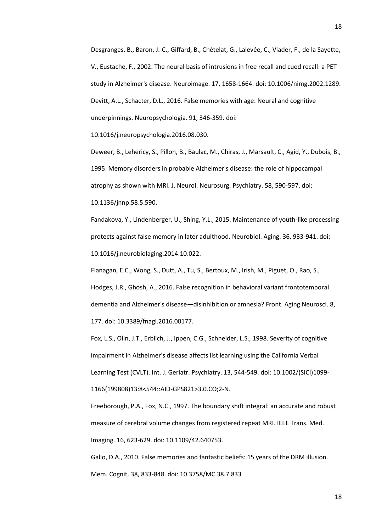Desgranges, B., Baron, J.-C., Giffard, B., Chételat, G., Lalevée, C., Viader, F., de la Sayette, V., Eustache, F., 2002. The neural basis of intrusions in free recall and cued recall: a PET study in Alzheimer's disease. Neuroimage. 17, 1658-1664. doi: 10.1006/nimg.2002.1289. Devitt, A.L., Schacter, D.L., 2016. False memories with age: Neural and cognitive underpinnings. Neuropsychologia. 91, 346-359. doi:

10.1016/j.neuropsychologia.2016.08.030.

Deweer, B., Lehericy, S., Pillon, B., Baulac, M., Chiras, J., Marsault, C., Agid, Y., Dubois, B., 1995. Memory disorders in probable Alzheimer's disease: the role of hippocampal atrophy as shown with MRI. J. Neurol. Neurosurg. Psychiatry. 58, 590-597. doi: 10.1136/jnnp.58.5.590.

Fandakova, Y., Lindenberger, U., Shing, Y.L., 2015. Maintenance of youth-like processing protects against false memory in later adulthood. Neurobiol. Aging. 36, 933-941. doi: 10.1016/j.neurobiolaging.2014.10.022.

Flanagan, E.C., Wong, S., Dutt, A., Tu, S., Bertoux, M., Irish, M., Piguet, O., Rao, S., Hodges, J.R., Ghosh, A., 2016. False recognition in behavioral variant frontotemporal dementia and Alzheimer's disease—disinhibition or amnesia? Front. Aging Neurosci. 8, 177. doi: 10.3389/fnagi.2016.00177.

Fox, L.S., Olin, J.T., Erblich, J., Ippen, C.G., Schneider, L.S., 1998. Severity of cognitive impairment in Alzheimer's disease affects list learning using the California Verbal Learning Test (CVLT). Int. J. Geriatr. Psychiatry. 13, 544-549. doi: 10.1002/(SICI)1099- 1166(199808)13:8<544::AID-GPS821>3.0.CO;2-N.

Freeborough, P.A., Fox, N.C., 1997. The boundary shift integral: an accurate and robust measure of cerebral volume changes from registered repeat MRI. IEEE Trans. Med. Imaging. 16, 623-629. doi: 10.1109/42.640753.

Gallo, D.A., 2010. False memories and fantastic beliefs: 15 years of the DRM illusion. Mem. Cognit. 38, 833-848. doi: 10.3758/MC.38.7.833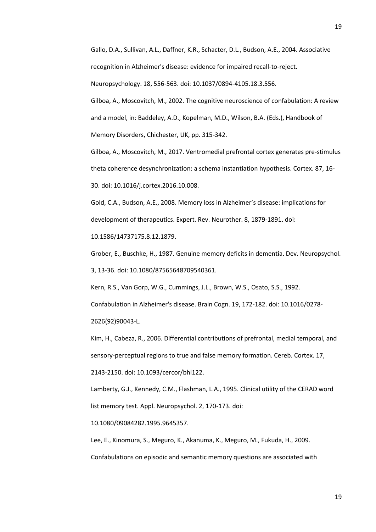Gallo, D.A., Sullivan, A.L., Daffner, K.R., Schacter, D.L., Budson, A.E., 2004. Associative recognition in Alzheimer's disease: evidence for impaired recall-to-reject.

Neuropsychology. 18, 556-563. doi: 10.1037/0894-4105.18.3.556.

Gilboa, A., Moscovitch, M., 2002. The cognitive neuroscience of confabulation: A review and a model, in: Baddeley, A.D., Kopelman, M.D., Wilson, B.A. (Eds.), Handbook of Memory Disorders, Chichester, UK, pp. 315-342.

Gilboa, A., Moscovitch, M., 2017. Ventromedial prefrontal cortex generates pre-stimulus theta coherence desynchronization: a schema instantiation hypothesis. Cortex. 87, 16- 30. doi: 10.1016/j.cortex.2016.10.008.

Gold, C.A., Budson, A.E., 2008. Memory loss in Alzheimer's disease: implications for development of therapeutics. Expert. Rev. Neurother. 8, 1879-1891. doi:

10.1586/14737175.8.12.1879.

Grober, E., Buschke, H., 1987. Genuine memory deficits in dementia. Dev. Neuropsychol. 3, 13-36. doi: 10.1080/87565648709540361.

Kern, R.S., Van Gorp, W.G., Cummings, J.L., Brown, W.S., Osato, S.S., 1992.

Confabulation in Alzheimer's disease. Brain Cogn. 19, 172-182. doi: 10.1016/0278-

2626(92)90043-L.

Kim, H., Cabeza, R., 2006. Differential contributions of prefrontal, medial temporal, and sensory-perceptual regions to true and false memory formation. Cereb. Cortex. 17,

2143-2150. doi: 10.1093/cercor/bhl122.

Lamberty, G.J., Kennedy, C.M., Flashman, L.A., 1995. Clinical utility of the CERAD word list memory test. Appl. Neuropsychol. 2, 170-173. doi:

10.1080/09084282.1995.9645357.

Lee, E., Kinomura, S., Meguro, K., Akanuma, K., Meguro, M., Fukuda, H., 2009. Confabulations on episodic and semantic memory questions are associated with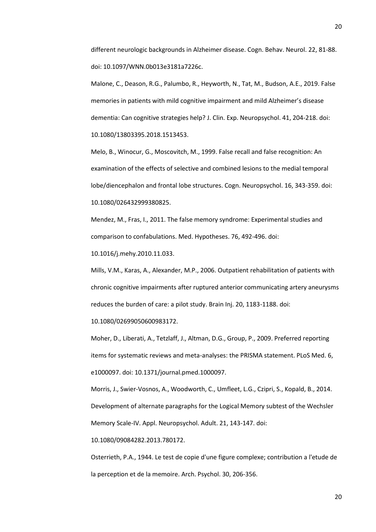different neurologic backgrounds in Alzheimer disease. Cogn. Behav. Neurol. 22, 81-88. doi: 10.1097/WNN.0b013e3181a7226c.

Malone, C., Deason, R.G., Palumbo, R., Heyworth, N., Tat, M., Budson, A.E., 2019. False memories in patients with mild cognitive impairment and mild Alzheimer's disease dementia: Can cognitive strategies help? J. Clin. Exp. Neuropsychol. 41, 204-218. doi: 10.1080/13803395.2018.1513453.

Melo, B., Winocur, G., Moscovitch, M., 1999. False recall and false recognition: An examination of the effects of selective and combined lesions to the medial temporal lobe/diencephalon and frontal lobe structures. Cogn. Neuropsychol. 16, 343-359. doi: 10.1080/026432999380825.

Mendez, M., Fras, I., 2011. The false memory syndrome: Experimental studies and comparison to confabulations. Med. Hypotheses. 76, 492-496. doi:

10.1016/j.mehy.2010.11.033.

Mills, V.M., Karas, A., Alexander, M.P., 2006. Outpatient rehabilitation of patients with chronic cognitive impairments after ruptured anterior communicating artery aneurysms reduces the burden of care: a pilot study. Brain Inj. 20, 1183-1188. doi:

10.1080/02699050600983172.

Moher, D., Liberati, A., Tetzlaff, J., Altman, D.G., Group, P., 2009. Preferred reporting items for systematic reviews and meta-analyses: the PRISMA statement. PLoS Med. 6, e1000097. doi: 10.1371/journal.pmed.1000097.

Morris, J., Swier-Vosnos, A., Woodworth, C., Umfleet, L.G., Czipri, S., Kopald, B., 2014. Development of alternate paragraphs for the Logical Memory subtest of the Wechsler Memory Scale-IV. Appl. Neuropsychol. Adult. 21, 143-147. doi:

10.1080/09084282.2013.780172.

Osterrieth, P.A., 1944. Le test de copie d'une figure complexe; contribution a l'etude de la perception et de la memoire. Arch. Psychol. 30, 206-356.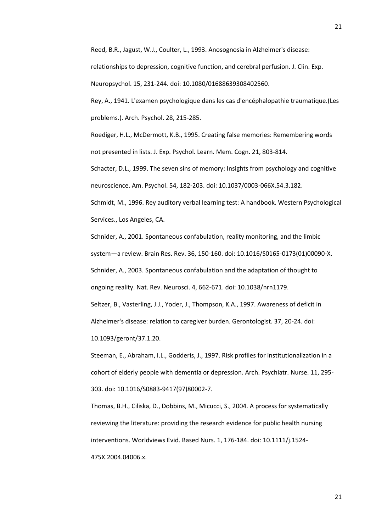Reed, B.R., Jagust, W.J., Coulter, L., 1993. Anosognosia in Alzheimer's disease: relationships to depression, cognitive function, and cerebral perfusion. J. Clin. Exp. Neuropsychol. 15, 231-244. doi: 10.1080/01688639308402560.

Rey, A., 1941. L'examen psychologique dans les cas d'encéphalopathie traumatique.(Les problems.). Arch. Psychol. 28, 215-285.

Roediger, H.L., McDermott, K.B., 1995. Creating false memories: Remembering words not presented in lists. J. Exp. Psychol. Learn. Mem. Cogn. 21, 803-814.

Schacter, D.L., 1999. The seven sins of memory: Insights from psychology and cognitive neuroscience. Am. Psychol. 54, 182-203. doi: 10.1037/0003-066X.54.3.182.

Schmidt, M., 1996. Rey auditory verbal learning test: A handbook. Western Psychological Services., Los Angeles, CA.

Schnider, A., 2001. Spontaneous confabulation, reality monitoring, and the limbic system—a review. Brain Res. Rev. 36, 150-160. doi: 10.1016/S0165-0173(01)00090-X. Schnider, A., 2003. Spontaneous confabulation and the adaptation of thought to ongoing reality. Nat. Rev. Neurosci. 4, 662-671. doi: 10.1038/nrn1179. Seltzer, B., Vasterling, J.J., Yoder, J., Thompson, K.A., 1997. Awareness of deficit in Alzheimer's disease: relation to caregiver burden. Gerontologist. 37, 20-24. doi: 10.1093/geront/37.1.20.

Steeman, E., Abraham, I.L., Godderis, J., 1997. Risk profiles for institutionalization in a cohort of elderly people with dementia or depression. Arch. Psychiatr. Nurse. 11, 295- 303. doi: 10.1016/S0883-9417(97)80002-7.

Thomas, B.H., Ciliska, D., Dobbins, M., Micucci, S., 2004. A process for systematically reviewing the literature: providing the research evidence for public health nursing interventions. Worldviews Evid. Based Nurs. 1, 176-184. doi: 10.1111/j.1524- 475X.2004.04006.x.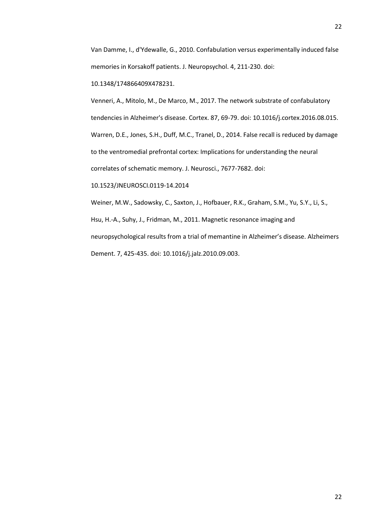Van Damme, I., d'Ydewalle, G., 2010. Confabulation versus experimentally induced false memories in Korsakoff patients. J. Neuropsychol. 4, 211-230. doi:

10.1348/174866409X478231.

Venneri, A., Mitolo, M., De Marco, M., 2017. The network substrate of confabulatory tendencies in Alzheimer's disease. Cortex. 87, 69-79. doi: 10.1016/j.cortex.2016.08.015. Warren, D.E., Jones, S.H., Duff, M.C., Tranel, D., 2014. False recall is reduced by damage to the ventromedial prefrontal cortex: Implications for understanding the neural correlates of schematic memory. J. Neurosci., 7677-7682. doi:

10.1523/JNEUROSCI.0119-14.2014

Weiner, M.W., Sadowsky, C., Saxton, J., Hofbauer, R.K., Graham, S.M., Yu, S.Y., Li, S., Hsu, H.-A., Suhy, J., Fridman, M., 2011. Magnetic resonance imaging and neuropsychological results from a trial of memantine in Alzheimer's disease. Alzheimers Dement. 7, 425-435. doi: 10.1016/j.jalz.2010.09.003.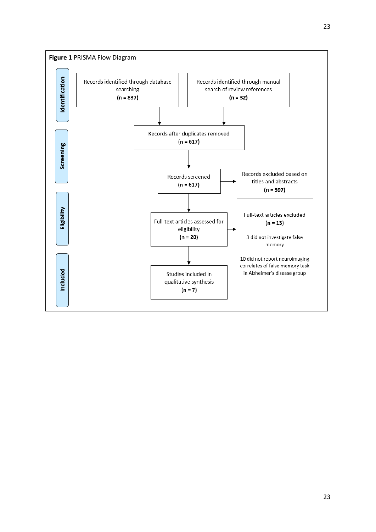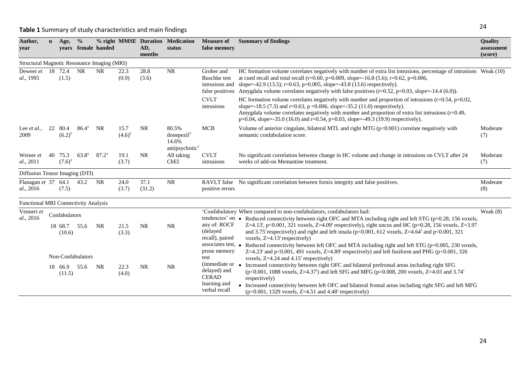# **Table 1** Summary of study characteristics and main findings

| Author,<br>year                             | $\mathbf{n}$ | Age,                               | $\frac{6}{6}$     | years female handed |                              | AD,<br>months  | % right MMSE Duration Medication<br>status                             | <b>Measure of</b><br>false memory                             | <b>Summary of findings</b>                                                                                                                                                                                                                                                                                                                                                                                                                                                                                             | Quality<br>assessment<br>(score) |
|---------------------------------------------|--------------|------------------------------------|-------------------|---------------------|------------------------------|----------------|------------------------------------------------------------------------|---------------------------------------------------------------|------------------------------------------------------------------------------------------------------------------------------------------------------------------------------------------------------------------------------------------------------------------------------------------------------------------------------------------------------------------------------------------------------------------------------------------------------------------------------------------------------------------------|----------------------------------|
| Structural Magnetic Resonance Imaging (MRI) |              |                                    |                   |                     |                              |                |                                                                        |                                                               |                                                                                                                                                                                                                                                                                                                                                                                                                                                                                                                        |                                  |
| Deweer et<br>al., 1995                      |              | 18 72.4<br>(1.5)                   | <b>NR</b>         | <b>NR</b>           | 22.3<br>(0.9)                | 28.8<br>(3.6)  | <b>NR</b>                                                              | Grober and<br><b>Buschke</b> test<br>intrusions and           | HC formation volume correlates negatively with number of extra list intrusions, percentage of intrusions Weak (10)<br>at cued recall and total recall ( $r=0.60$ , $p=0.009$ , slope=-16.8 (5.6); $r=0.62$ , $p=0.006$ ,<br>slope=-42.9 (13.5); r=0.63, p=0.005, slope=-43.8 (13.6) respectively).<br>false positives Amygdala volume correlates negatively with false positives $(r=0.52, p=0.03, slope=-14.4 (6.0))$ .                                                                                               |                                  |
|                                             |              |                                    |                   |                     |                              |                |                                                                        | <b>CVLT</b><br>intrusions                                     | HC formation volume correlates negatively with number and proportion of intrusions ( $r=0.54$ , $p=0.02$ ,<br>slope=-18.5 (7.3) and r=0.63, p =0.006, slope=-35.2 (11.0) respectively).<br>Amygdala volume correlates negatively with number and proportion of extra list intrusions $(r=0.49,$<br>$p=0.04$ , slope=-35.0 (16.0) and r=0.54, p=0.03, slope=-49.3 (19.9) respectively).                                                                                                                                 |                                  |
| Lee $et al.$<br>2009                        | 22           | 80.4<br>$(6.2)^{\dagger}$          | $86.4^{\dagger}$  | <b>NR</b>           | 15.7<br>$(4.6)$ <sup>†</sup> | <b>NR</b>      | 80.5%<br>donepezil <sup>†</sup><br>14.6%<br>antipsychotic <sup>†</sup> | <b>MCB</b>                                                    | Volume of anterior cingulate, bilateral MTL and right MTG $(p<0.001)$ correlate negatively with<br>semantic confabulation score.                                                                                                                                                                                                                                                                                                                                                                                       | Moderate<br>(7)                  |
| Weiner et<br>al., 2011                      |              | 40 75.3<br>$(7.6)$ <sup>†</sup>    | $63.8^{\dagger}$  | $87.2^{\dagger}$    | 19.1<br>(3.7)                | <b>NR</b>      | All taking<br>ChEI                                                     | <b>CVLT</b><br>intrusions                                     | No significant correlation between change in HC volume and change in intrusions on CVLT after 24<br>weeks of add-on Memantine treatment.                                                                                                                                                                                                                                                                                                                                                                               | Moderate<br>(7)                  |
| Diffusion Tensor Imaging (DTI)              |              |                                    |                   |                     |                              |                |                                                                        |                                                               |                                                                                                                                                                                                                                                                                                                                                                                                                                                                                                                        |                                  |
| Flanagan et 37 64.1<br>al., 2016            |              | (7.5)                              | 43.2              | NR                  | 24.0<br>(3.7)                | 37.1<br>(31.2) | $\rm NR$                                                               | <b>RAVLT</b> false<br>positive errors                         | No significant correlation between fornix integrity and false positives.                                                                                                                                                                                                                                                                                                                                                                                                                                               | Moderate<br>(8)                  |
| <b>Functional MRI Connectivity Analysis</b> |              |                                    |                   |                     |                              |                |                                                                        |                                                               |                                                                                                                                                                                                                                                                                                                                                                                                                                                                                                                        |                                  |
| Venneri et<br>al., 2016                     |              | Confabulators<br>18 68.7<br>(10.6) | 55.6              | <b>NR</b>           | 21.5<br>(3.3)                | <b>NR</b>      | $\rm NR$                                                               | any of: ROCF<br>(delayed<br>recall), paired                   | 'Confabulatory When compared to non-confabulators, confabulators had:<br>tendencies' on • Reduced connectivity between right OFC and MTA including right and left STG ( $p=0.28$ , 156 voxels,<br>Z=4.13 <sup>†</sup> , p<0.001, 321 voxels, Z=4.09 <sup>†</sup> respectively), right uncus and HC (p=0.28, 156 voxels, Z=3.97<br>and 3.75 <sup><math>\dagger</math></sup> respectively) and right and left insula (p<0.001, 612 voxels, Z=4.64 $\dagger$ and p<0.001, 321<br>voxels, $Z=4.13^{\dagger}$ respectively) | Weak $(8)$                       |
|                                             |              |                                    | Non-Confabulators |                     |                              |                |                                                                        | associates test, •<br>prose memory<br>test<br>(immediate or   | Reduced connectivity between left OFC and MTA including right and left STG (p=0.005, 230 voxels,<br>Z=4.23 <sup>†</sup> and p<0.001, 491 voxels, Z=4.89 <sup>†</sup> respectively) and left fusiform and PHG (p<0.001, 326<br>voxels, $Z=4.24$ and $4.15^{\dagger}$ respectively)                                                                                                                                                                                                                                      |                                  |
|                                             |              | 18 66.9<br>(11.5)                  | 55.6              | NR                  | 22.3<br>(4.0)                | <b>NR</b>      | $\rm NR$                                                               | delayed) and<br><b>CERAD</b><br>learning and<br>verbal recall | Increased connectivity between right OFC and bilateral prefrontal areas including right SFG<br>$(p<0.001, 1088 \text{ voxels}, Z=4.37^{\dagger})$ and left SFG and MFG (p=0.008, 200 voxels, Z=4.03 and 3.74 <sup>+</sup><br>respectively)<br>• Increased connectivity between left OFC and bilateral frontal areas including right SFG and left MFG<br>$(p<0.001, 1329 \text{ voxels}, Z=4.51 \text{ and } 4.48^{\dagger} \text{ respectively})$                                                                      |                                  |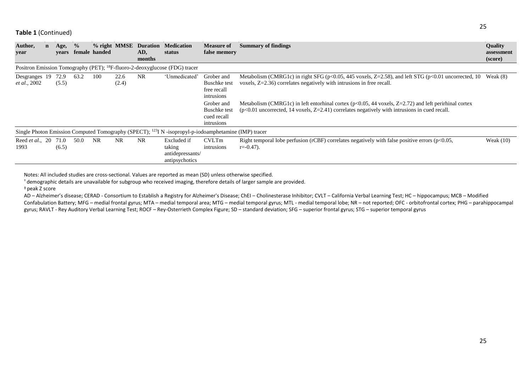| Author,<br>year                                                                                                  |  | Age,<br>vears | $\frac{0}{0}$ | % right MMSE<br>female handed |               | <b>Duration</b><br>AD, | <b>Medication</b><br>status                                 | <b>Measure of</b><br>false memory                              | <b>Summary of findings</b>                                                                                                                                                                                     | <b>Quality</b><br>assessment |  |
|------------------------------------------------------------------------------------------------------------------|--|---------------|---------------|-------------------------------|---------------|------------------------|-------------------------------------------------------------|----------------------------------------------------------------|----------------------------------------------------------------------------------------------------------------------------------------------------------------------------------------------------------------|------------------------------|--|
|                                                                                                                  |  |               |               |                               |               | months                 |                                                             |                                                                |                                                                                                                                                                                                                | (score)                      |  |
| Positron Emission Tomography (PET); <sup>18</sup> F-fluoro-2-deoxyglucose (FDG) tracer                           |  |               |               |                               |               |                        |                                                             |                                                                |                                                                                                                                                                                                                |                              |  |
| Desgranges 19<br><i>et al.</i> , 2002                                                                            |  | 72.9<br>(5.5) | 63.2          | 100                           | 22.6<br>(2.4) | <b>NR</b>              | 'Unmedicated'                                               | Grober and<br><b>Buschke</b> test<br>free recall<br>intrusions | Metabolism (CMRG1c) in right SFG ( $p<0.05$ , 445 voxels, Z=2.58), and left STG ( $p<0.01$ uncorrected, 10<br>voxels, $Z=2.36$ ) correlates negatively with intrusions in free recall.                         | Weak $(8)$                   |  |
|                                                                                                                  |  |               |               |                               |               |                        |                                                             | Grober and<br><b>Buschke</b> test<br>cued recall<br>intrusions | Metabolism (CMRG1c) in left entorhinal cortex ( $p<0.05$ , 44 voxels, Z=2.72) and left perirhinal cortex<br>$(p<0.01$ uncorrected, 14 voxels, $Z=2.41$ ) correlates negatively with intrusions in cued recall. |                              |  |
| Single Photon Emission Computed Tomography (SPECT); <sup>123</sup> I N -isopropyl-p-iodoamphetamine (IMP) tracer |  |               |               |                               |               |                        |                                                             |                                                                |                                                                                                                                                                                                                |                              |  |
| Reed et al., 20 71.0<br>1993                                                                                     |  | (6.5)         | 50.0          | <b>NR</b>                     | <b>NR</b>     | NR.                    | Excluded if<br>taking<br>antidepressants/<br>antipsychotics | <b>CVLTm</b><br>intrusions                                     | Right temporal lobe perfusion (rCBF) correlates negatively with false positive errors ( $p<0.05$ ,<br>$r = -0.47$ .                                                                                            | Weak $(10)$                  |  |

Notes: All included studies are cross-sectional. Values are reported as mean (SD) unless otherwise specified.

† demographic details are unavailable for subgroup who received imaging, therefore details of larger sample are provided.

<sup>ǂ</sup> peak Z score

AD – Alzheimer's disease; CERAD - Consortium to Establish a Registry for Alzheimer's Disease; ChEI – Cholinesterase Inhibitor; CVLT – California Verbal Learning Test; HC – hippocampus; MCB – Modified Confabulation Battery; MFG – medial frontal gyrus; MTA – medial temporal area; MTG – medial temporal gyrus; MTL - medial temporal lobe; NR – not reported; OFC - orbitofrontal cortex; PHG – parahippocampal gyrus; RAVLT - Rey Auditory Verbal Learning Test; ROCF – Rey-Osterrieth Complex Figure; SD – standard deviation; SFG – superior frontal gyrus; STG – superior temporal gyrus